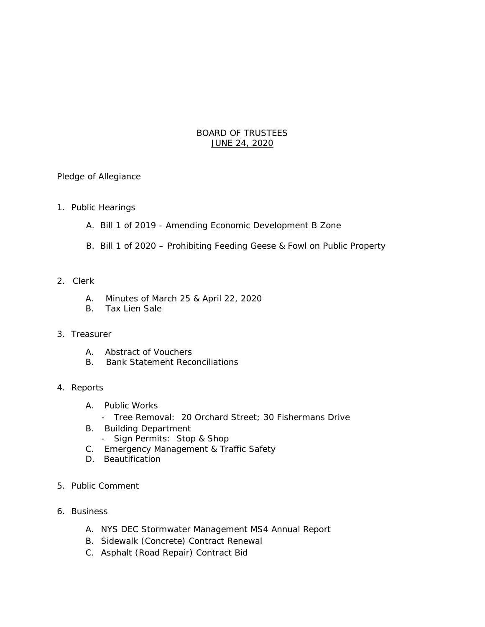# BOARD OF TRUSTEES JUNE 24, 2020

Pledge of Allegiance

- 1. Public Hearings
	- A. Bill 1 of 2019 Amending Economic Development B Zone
	- B. Bill 1 of 2020 Prohibiting Feeding Geese & Fowl on Public Property

### 2. Clerk

- A. Minutes of March 25 & April 22, 2020
- B. Tax Lien Sale

### 3. Treasurer

- A. Abstract of Vouchers
- B. Bank Statement Reconciliations

# 4. Reports

- A. Public Works
	- Tree Removal: 20 Orchard Street; 30 Fishermans Drive
- B. Building Department
	- Sign Permits: Stop & Shop
- C. Emergency Management & Traffic Safety
- D. Beautification
- 5. Public Comment
- 6. Business
	- A. NYS DEC Stormwater Management MS4 Annual Report
	- B. Sidewalk (Concrete) Contract Renewal
	- C. Asphalt (Road Repair) Contract Bid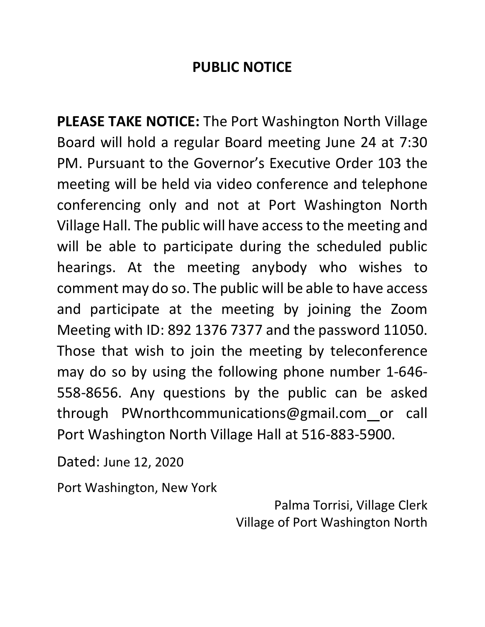# **PUBLIC NOTICE**

**PLEASE TAKE NOTICE:** The Port Washington North Village Board will hold a regular Board meeting June 24 at 7:30 PM. Pursuant to the Governor's Executive Order 103 the meeting will be held via video conference and telephone conferencing only and not at Port Washington North Village Hall. The public will have access to the meeting and will be able to participate during the scheduled public hearings. At the meeting anybody who wishes to comment may do so. The public will be able to have access and participate at the meeting by joining the Zoom Meeting with ID: 892 1376 7377 and the password 11050. Those that wish to join the meeting by teleconference may do so by using the following phone number 1-646- 558-8656. Any questions by the public can be asked through PWnorthcommunications@gmail.com or call Port Washington North Village Hall at 516-883-5900.

Dated: June 12, 2020

Port Washington, New York

Palma Torrisi, Village Clerk Village of Port Washington North